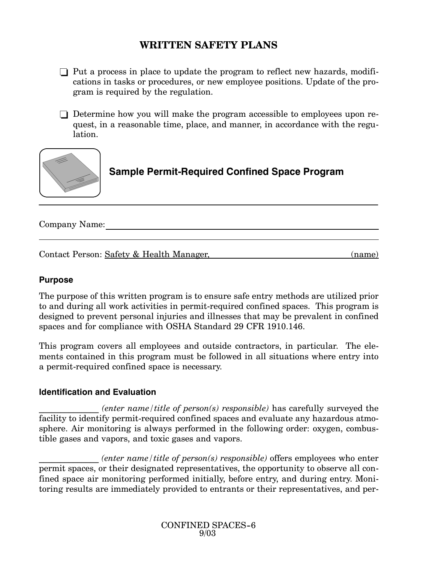# **WRITTEN SAFETY PLANS**

- $\Box$  Put a process in place to update the program to reflect new hazards, modifications in tasks or procedures, or new employee positions. Update of the program is required by the regulation.
- $\Box$  Determine how you will make the program accessible to employees upon request, in a reasonable time, place, and manner, in accordance with the regulation.



**Sample Permit-Required Confined Space Program**

Company Name:

Contact Person: Safety & Health Manager, (name)

### **Purpose**

The purpose of this written program is to ensure safe entry methods are utilized prior to and during all work activities in permit-required confined spaces. This program is designed to prevent personal injuries and illnesses that may be prevalent in confined spaces and for compliance with OSHA Standard 29 CFR 1910.146.

This program covers all employees and outside contractors, in particular. The elements contained in this program must be followed in all situations where entry into a permit-required confined space is necessary.

## **Identification and Evaluation**

\_\_\_\_\_\_\_\_\_\_\_\_\_\_ *(enter name/title of person(s) responsible)* has carefully surveyed the facility to identify permit-required confined spaces and evaluate any hazardous atmosphere. Air monitoring is always performed in the following order: oxygen, combustible gases and vapors, and toxic gases and vapors.

\_\_\_\_\_\_\_\_\_\_\_\_\_\_ *(enter name/title of person(s) responsible)* offers employees who enter permit spaces, or their designated representatives, the opportunity to observe all confined space air monitoring performed initially, before entry, and during entry. Monitoring results are immediately provided to entrants or their representatives, and per-